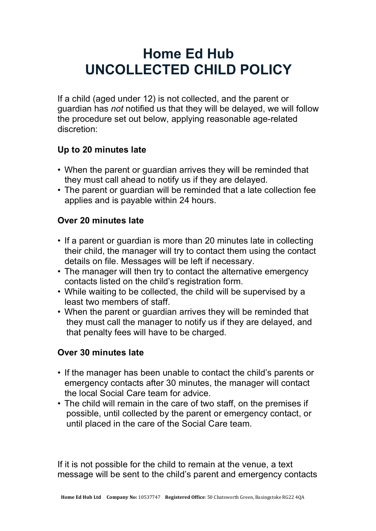# **Home Ed Hub UNCOLLECTED CHILD POLICY**

If a child (aged under 12) is not collected, and the parent or guardian has *not* notified us that they will be delayed, we will follow the procedure set out below, applying reasonable age-related discretion:

## **Up to 20 minutes late**

- When the parent or guardian arrives they will be reminded that they must call ahead to notify us if they are delayed.
- The parent or guardian will be reminded that a late collection fee applies and is payable within 24 hours.

### **Over 20 minutes late**

- If a parent or guardian is more than 20 minutes late in collecting their child, the manager will try to contact them using the contact details on file. Messages will be left if necessary.
- The manager will then try to contact the alternative emergency contacts listed on the child's registration form.
- While waiting to be collected, the child will be supervised by a least two members of staff.
- When the parent or guardian arrives they will be reminded that they must call the manager to notify us if they are delayed, and that penalty fees will have to be charged.

# **Over 30 minutes late**

- If the manager has been unable to contact the child's parents or emergency contacts after 30 minutes, the manager will contact the local Social Care team for advice.
- The child will remain in the care of two staff, on the premises if possible, until collected by the parent or emergency contact, or until placed in the care of the Social Care team.

If it is not possible for the child to remain at the venue, a text message will be sent to the child's parent and emergency contacts